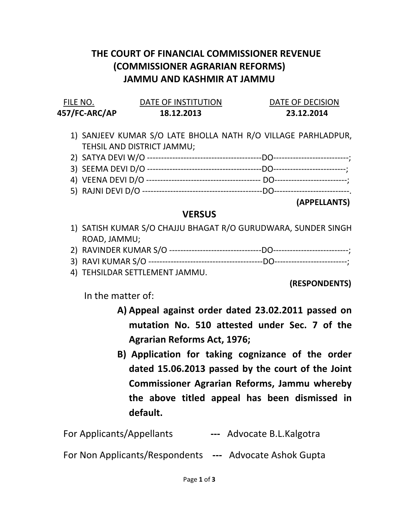## THE COURT OF FINANCIAL COMMISSIONER REVENUE (COMMISSIONER AGRARIAN REFORMS) JAMMU AND KASHMIR AT JAMMU

| FILE NO.      | DATE OF INSTITUTION | DATE OF DECISION |
|---------------|---------------------|------------------|
| 457/FC-ARC/AP | 18.12.2013          | 23.12.2014       |

- 1) SANJEEV KUMAR S/O LATE BHOLLA NATH R/O VILLAGE PARHLADPUR, TEHSIL AND DISTRICT JAMMU;
- 2) SATYA DEVI W/O -----------------------------------------DO---------------------------;
- 3) SEEMA DEVI D/O -----------------------------------------DO--------------------------; 4) VEENA DEVI D/O ----------------------------------------- DO--------------------------;
- 5) RAJNI DEVI D/O -------------------------------------------DO---------------------------.

## (APPELLANTS)

## **VERSUS**

- 1) SATISH KUMAR S/O CHAJJU BHAGAT R/O GURUDWARA, SUNDER SINGH ROAD, JAMMU;
- 2) RAVINDER KUMAR S/O ---------------------------------DO---------------------------;
- 3) RAVI KUMAR S/O -----------------------------------------DO--------------------------;
- 4) TEHSILDAR SETTLEMENT JAMMU.

(RESPONDENTS)

In the matter of:

- A) Appeal against order dated 23.02.2011 passed on mutation No. 510 attested under Sec. 7 of the Agrarian Reforms Act, 1976;
- B) Application for taking cognizance of the order dated 15.06.2013 passed by the court of the Joint Commissioner Agrarian Reforms, Jammu whereby the above titled appeal has been dismissed in default.

| <b>For Applicants/Appellants</b> |  | --- Advocate B.L.Kalgotra |
|----------------------------------|--|---------------------------|
|----------------------------------|--|---------------------------|

For Non Applicants/Respondents --- Advocate Ashok Gupta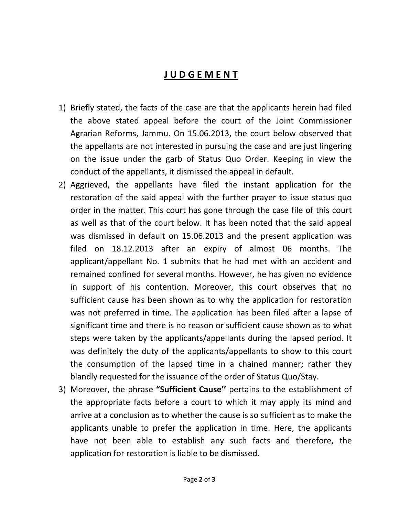## J U D G E M E N T

- 1) Briefly stated, the facts of the case are that the applicants herein had filed the above stated appeal before the court of the Joint Commissioner Agrarian Reforms, Jammu. On 15.06.2013, the court below observed that the appellants are not interested in pursuing the case and are just lingering on the issue under the garb of Status Quo Order. Keeping in view the conduct of the appellants, it dismissed the appeal in default.
- 2) Aggrieved, the appellants have filed the instant application for the restoration of the said appeal with the further prayer to issue status quo order in the matter. This court has gone through the case file of this court as well as that of the court below. It has been noted that the said appeal was dismissed in default on 15.06.2013 and the present application was filed on 18.12.2013 after an expiry of almost 06 months. The applicant/appellant No. 1 submits that he had met with an accident and remained confined for several months. However, he has given no evidence in support of his contention. Moreover, this court observes that no sufficient cause has been shown as to why the application for restoration was not preferred in time. The application has been filed after a lapse of significant time and there is no reason or sufficient cause shown as to what steps were taken by the applicants/appellants during the lapsed period. It was definitely the duty of the applicants/appellants to show to this court the consumption of the lapsed time in a chained manner; rather they blandly requested for the issuance of the order of Status Quo/Stay.
- 3) Moreover, the phrase "Sufficient Cause" pertains to the establishment of the appropriate facts before a court to which it may apply its mind and arrive at a conclusion as to whether the cause is so sufficient as to make the applicants unable to prefer the application in time. Here, the applicants have not been able to establish any such facts and therefore, the application for restoration is liable to be dismissed.